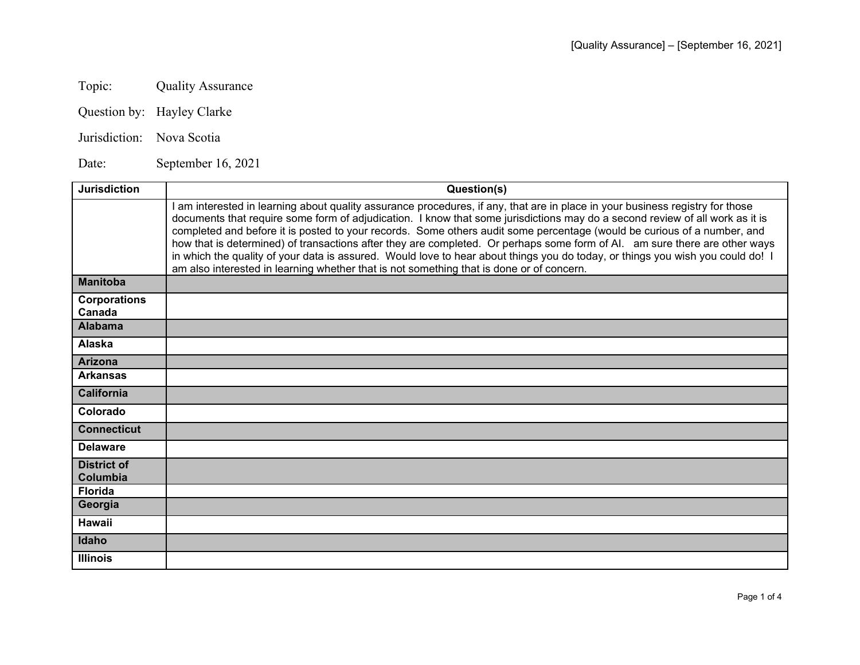Topic: Quality Assurance

Question by: Hayley Clarke

Jurisdiction: Nova Scotia

Date: September 16, 2021

| <b>Jurisdiction</b>            | Question(s)                                                                                                                                                                                                                                                                                                                                                                                                                                                                                                                                                                                                                                                                                                                                        |
|--------------------------------|----------------------------------------------------------------------------------------------------------------------------------------------------------------------------------------------------------------------------------------------------------------------------------------------------------------------------------------------------------------------------------------------------------------------------------------------------------------------------------------------------------------------------------------------------------------------------------------------------------------------------------------------------------------------------------------------------------------------------------------------------|
|                                | am interested in learning about quality assurance procedures, if any, that are in place in your business registry for those<br>documents that require some form of adjudication. I know that some jurisdictions may do a second review of all work as it is<br>completed and before it is posted to your records. Some others audit some percentage (would be curious of a number, and<br>how that is determined) of transactions after they are completed. Or perhaps some form of Al. am sure there are other ways<br>in which the quality of your data is assured. Would love to hear about things you do today, or things you wish you could do! I<br>am also interested in learning whether that is not something that is done or of concern. |
| <b>Manitoba</b>                |                                                                                                                                                                                                                                                                                                                                                                                                                                                                                                                                                                                                                                                                                                                                                    |
| <b>Corporations</b><br>Canada  |                                                                                                                                                                                                                                                                                                                                                                                                                                                                                                                                                                                                                                                                                                                                                    |
| <b>Alabama</b>                 |                                                                                                                                                                                                                                                                                                                                                                                                                                                                                                                                                                                                                                                                                                                                                    |
| Alaska                         |                                                                                                                                                                                                                                                                                                                                                                                                                                                                                                                                                                                                                                                                                                                                                    |
| <b>Arizona</b>                 |                                                                                                                                                                                                                                                                                                                                                                                                                                                                                                                                                                                                                                                                                                                                                    |
| <b>Arkansas</b>                |                                                                                                                                                                                                                                                                                                                                                                                                                                                                                                                                                                                                                                                                                                                                                    |
| <b>California</b>              |                                                                                                                                                                                                                                                                                                                                                                                                                                                                                                                                                                                                                                                                                                                                                    |
| Colorado                       |                                                                                                                                                                                                                                                                                                                                                                                                                                                                                                                                                                                                                                                                                                                                                    |
| <b>Connecticut</b>             |                                                                                                                                                                                                                                                                                                                                                                                                                                                                                                                                                                                                                                                                                                                                                    |
| <b>Delaware</b>                |                                                                                                                                                                                                                                                                                                                                                                                                                                                                                                                                                                                                                                                                                                                                                    |
| <b>District of</b><br>Columbia |                                                                                                                                                                                                                                                                                                                                                                                                                                                                                                                                                                                                                                                                                                                                                    |
| <b>Florida</b>                 |                                                                                                                                                                                                                                                                                                                                                                                                                                                                                                                                                                                                                                                                                                                                                    |
| Georgia                        |                                                                                                                                                                                                                                                                                                                                                                                                                                                                                                                                                                                                                                                                                                                                                    |
| <b>Hawaii</b>                  |                                                                                                                                                                                                                                                                                                                                                                                                                                                                                                                                                                                                                                                                                                                                                    |
| Idaho                          |                                                                                                                                                                                                                                                                                                                                                                                                                                                                                                                                                                                                                                                                                                                                                    |
| <b>Illinois</b>                |                                                                                                                                                                                                                                                                                                                                                                                                                                                                                                                                                                                                                                                                                                                                                    |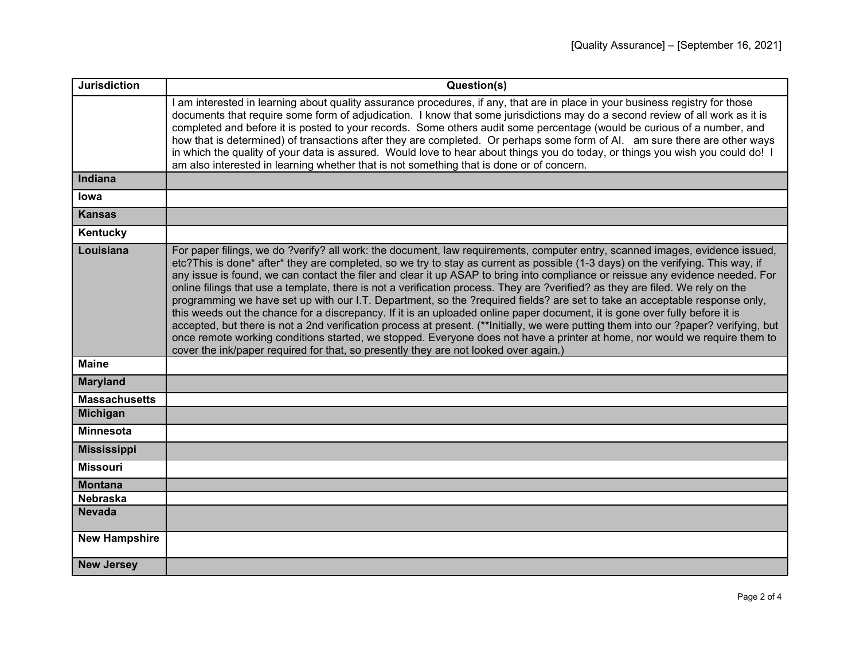| <b>Jurisdiction</b>  | Question(s)                                                                                                                                                                                                                                                                                                                                                                                                                                                                                                                                                                                                                                                                                                                                                                                                                                                                                                                                                                                                                                                                                                                                                    |
|----------------------|----------------------------------------------------------------------------------------------------------------------------------------------------------------------------------------------------------------------------------------------------------------------------------------------------------------------------------------------------------------------------------------------------------------------------------------------------------------------------------------------------------------------------------------------------------------------------------------------------------------------------------------------------------------------------------------------------------------------------------------------------------------------------------------------------------------------------------------------------------------------------------------------------------------------------------------------------------------------------------------------------------------------------------------------------------------------------------------------------------------------------------------------------------------|
|                      | am interested in learning about quality assurance procedures, if any, that are in place in your business registry for those<br>documents that require some form of adjudication. I know that some jurisdictions may do a second review of all work as it is<br>completed and before it is posted to your records. Some others audit some percentage (would be curious of a number, and<br>how that is determined) of transactions after they are completed. Or perhaps some form of AI. am sure there are other ways<br>in which the quality of your data is assured. Would love to hear about things you do today, or things you wish you could do! I<br>am also interested in learning whether that is not something that is done or of concern.                                                                                                                                                                                                                                                                                                                                                                                                             |
| Indiana              |                                                                                                                                                                                                                                                                                                                                                                                                                                                                                                                                                                                                                                                                                                                                                                                                                                                                                                                                                                                                                                                                                                                                                                |
| lowa                 |                                                                                                                                                                                                                                                                                                                                                                                                                                                                                                                                                                                                                                                                                                                                                                                                                                                                                                                                                                                                                                                                                                                                                                |
| <b>Kansas</b>        |                                                                                                                                                                                                                                                                                                                                                                                                                                                                                                                                                                                                                                                                                                                                                                                                                                                                                                                                                                                                                                                                                                                                                                |
| Kentucky             |                                                                                                                                                                                                                                                                                                                                                                                                                                                                                                                                                                                                                                                                                                                                                                                                                                                                                                                                                                                                                                                                                                                                                                |
| Louisiana            | For paper filings, we do ?verify? all work: the document, law requirements, computer entry, scanned images, evidence issued,<br>etc?This is done* after* they are completed, so we try to stay as current as possible (1-3 days) on the verifying. This way, if<br>any issue is found, we can contact the filer and clear it up ASAP to bring into compliance or reissue any evidence needed. For<br>online filings that use a template, there is not a verification process. They are ?verified? as they are filed. We rely on the<br>programming we have set up with our I.T. Department, so the ?required fields? are set to take an acceptable response only,<br>this weeds out the chance for a discrepancy. If it is an uploaded online paper document, it is gone over fully before it is<br>accepted, but there is not a 2nd verification process at present. (**Initially, we were putting them into our ?paper? verifying, but<br>once remote working conditions started, we stopped. Everyone does not have a printer at home, nor would we require them to<br>cover the ink/paper required for that, so presently they are not looked over again.) |
| <b>Maine</b>         |                                                                                                                                                                                                                                                                                                                                                                                                                                                                                                                                                                                                                                                                                                                                                                                                                                                                                                                                                                                                                                                                                                                                                                |
| <b>Maryland</b>      |                                                                                                                                                                                                                                                                                                                                                                                                                                                                                                                                                                                                                                                                                                                                                                                                                                                                                                                                                                                                                                                                                                                                                                |
| <b>Massachusetts</b> |                                                                                                                                                                                                                                                                                                                                                                                                                                                                                                                                                                                                                                                                                                                                                                                                                                                                                                                                                                                                                                                                                                                                                                |
| <b>Michigan</b>      |                                                                                                                                                                                                                                                                                                                                                                                                                                                                                                                                                                                                                                                                                                                                                                                                                                                                                                                                                                                                                                                                                                                                                                |
| <b>Minnesota</b>     |                                                                                                                                                                                                                                                                                                                                                                                                                                                                                                                                                                                                                                                                                                                                                                                                                                                                                                                                                                                                                                                                                                                                                                |
| <b>Mississippi</b>   |                                                                                                                                                                                                                                                                                                                                                                                                                                                                                                                                                                                                                                                                                                                                                                                                                                                                                                                                                                                                                                                                                                                                                                |
| <b>Missouri</b>      |                                                                                                                                                                                                                                                                                                                                                                                                                                                                                                                                                                                                                                                                                                                                                                                                                                                                                                                                                                                                                                                                                                                                                                |
| <b>Montana</b>       |                                                                                                                                                                                                                                                                                                                                                                                                                                                                                                                                                                                                                                                                                                                                                                                                                                                                                                                                                                                                                                                                                                                                                                |
| Nebraska             |                                                                                                                                                                                                                                                                                                                                                                                                                                                                                                                                                                                                                                                                                                                                                                                                                                                                                                                                                                                                                                                                                                                                                                |
| <b>Nevada</b>        |                                                                                                                                                                                                                                                                                                                                                                                                                                                                                                                                                                                                                                                                                                                                                                                                                                                                                                                                                                                                                                                                                                                                                                |
| <b>New Hampshire</b> |                                                                                                                                                                                                                                                                                                                                                                                                                                                                                                                                                                                                                                                                                                                                                                                                                                                                                                                                                                                                                                                                                                                                                                |
| <b>New Jersey</b>    |                                                                                                                                                                                                                                                                                                                                                                                                                                                                                                                                                                                                                                                                                                                                                                                                                                                                                                                                                                                                                                                                                                                                                                |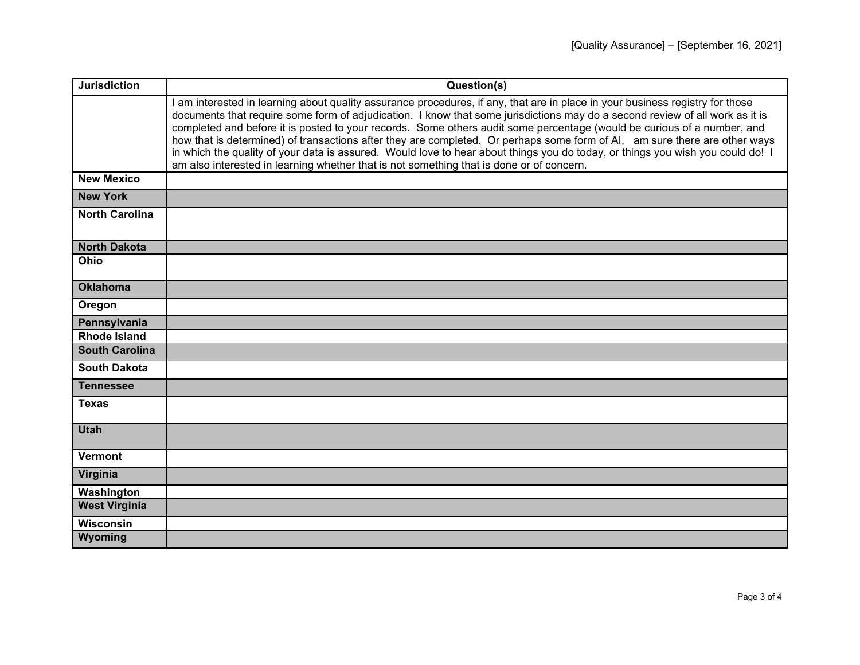| <b>Jurisdiction</b>   | Question(s)                                                                                                                                                                                                                                                                                                                                                                                                                                                                                                                                                                                                                                                                                                                                          |
|-----------------------|------------------------------------------------------------------------------------------------------------------------------------------------------------------------------------------------------------------------------------------------------------------------------------------------------------------------------------------------------------------------------------------------------------------------------------------------------------------------------------------------------------------------------------------------------------------------------------------------------------------------------------------------------------------------------------------------------------------------------------------------------|
|                       | I am interested in learning about quality assurance procedures, if any, that are in place in your business registry for those<br>documents that require some form of adjudication. I know that some jurisdictions may do a second review of all work as it is<br>completed and before it is posted to your records. Some others audit some percentage (would be curious of a number, and<br>how that is determined) of transactions after they are completed. Or perhaps some form of Al. am sure there are other ways<br>in which the quality of your data is assured. Would love to hear about things you do today, or things you wish you could do! I<br>am also interested in learning whether that is not something that is done or of concern. |
| <b>New Mexico</b>     |                                                                                                                                                                                                                                                                                                                                                                                                                                                                                                                                                                                                                                                                                                                                                      |
| <b>New York</b>       |                                                                                                                                                                                                                                                                                                                                                                                                                                                                                                                                                                                                                                                                                                                                                      |
| <b>North Carolina</b> |                                                                                                                                                                                                                                                                                                                                                                                                                                                                                                                                                                                                                                                                                                                                                      |
| <b>North Dakota</b>   |                                                                                                                                                                                                                                                                                                                                                                                                                                                                                                                                                                                                                                                                                                                                                      |
| Ohio                  |                                                                                                                                                                                                                                                                                                                                                                                                                                                                                                                                                                                                                                                                                                                                                      |
| <b>Oklahoma</b>       |                                                                                                                                                                                                                                                                                                                                                                                                                                                                                                                                                                                                                                                                                                                                                      |
| Oregon                |                                                                                                                                                                                                                                                                                                                                                                                                                                                                                                                                                                                                                                                                                                                                                      |
| Pennsylvania          |                                                                                                                                                                                                                                                                                                                                                                                                                                                                                                                                                                                                                                                                                                                                                      |
| <b>Rhode Island</b>   |                                                                                                                                                                                                                                                                                                                                                                                                                                                                                                                                                                                                                                                                                                                                                      |
| <b>South Carolina</b> |                                                                                                                                                                                                                                                                                                                                                                                                                                                                                                                                                                                                                                                                                                                                                      |
| <b>South Dakota</b>   |                                                                                                                                                                                                                                                                                                                                                                                                                                                                                                                                                                                                                                                                                                                                                      |
| <b>Tennessee</b>      |                                                                                                                                                                                                                                                                                                                                                                                                                                                                                                                                                                                                                                                                                                                                                      |
| <b>Texas</b>          |                                                                                                                                                                                                                                                                                                                                                                                                                                                                                                                                                                                                                                                                                                                                                      |
| <b>Utah</b>           |                                                                                                                                                                                                                                                                                                                                                                                                                                                                                                                                                                                                                                                                                                                                                      |
| <b>Vermont</b>        |                                                                                                                                                                                                                                                                                                                                                                                                                                                                                                                                                                                                                                                                                                                                                      |
| Virginia              |                                                                                                                                                                                                                                                                                                                                                                                                                                                                                                                                                                                                                                                                                                                                                      |
| Washington            |                                                                                                                                                                                                                                                                                                                                                                                                                                                                                                                                                                                                                                                                                                                                                      |
| <b>West Virginia</b>  |                                                                                                                                                                                                                                                                                                                                                                                                                                                                                                                                                                                                                                                                                                                                                      |
| <b>Wisconsin</b>      |                                                                                                                                                                                                                                                                                                                                                                                                                                                                                                                                                                                                                                                                                                                                                      |
| Wyoming               |                                                                                                                                                                                                                                                                                                                                                                                                                                                                                                                                                                                                                                                                                                                                                      |